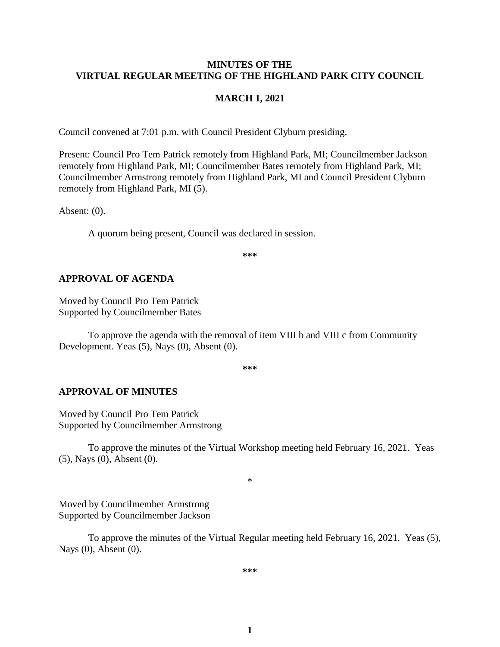#### **MINUTES OF THE VIRTUAL REGULAR MEETING OF THE HIGHLAND PARK CITY COUNCIL**

#### **MARCH 1, 2021**

Council convened at 7:01 p.m. with Council President Clyburn presiding.

Present: Council Pro Tem Patrick remotely from Highland Park, MI; Councilmember Jackson remotely from Highland Park, MI; Councilmember Bates remotely from Highland Park, MI; Councilmember Armstrong remotely from Highland Park, MI and Council President Clyburn remotely from Highland Park, MI (5).

Absent: (0).

A quorum being present, Council was declared in session.

**\*\*\***

#### **APPROVAL OF AGENDA**

Moved by Council Pro Tem Patrick Supported by Councilmember Bates

To approve the agenda with the removal of item VIII b and VIII c from Community Development. Yeas (5), Nays (0), Absent (0).

**\*\*\***

#### **APPROVAL OF MINUTES**

Moved by Council Pro Tem Patrick Supported by Councilmember Armstrong

To approve the minutes of the Virtual Workshop meeting held February 16, 2021.Yeas (5), Nays (0), Absent (0).

\*

Moved by Councilmember Armstrong Supported by Councilmember Jackson

To approve the minutes of the Virtual Regular meeting held February 16, 2021.Yeas (5), Nays (0), Absent (0).

**\*\*\***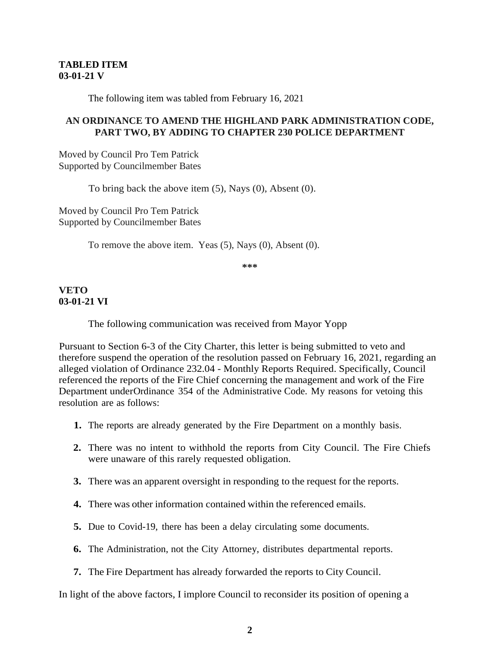## **TABLED ITEM 03-01-21 V**

The following item was tabled from February 16, 2021

## **AN ORDINANCE TO AMEND THE HIGHLAND PARK ADMINISTRATION CODE, PART TWO, BY ADDING TO CHAPTER 230 POLICE DEPARTMENT**

Moved by Council Pro Tem Patrick Supported by Councilmember Bates

To bring back the above item (5), Nays (0), Absent (0).

Moved by Council Pro Tem Patrick Supported by Councilmember Bates

To remove the above item. Yeas (5), Nays (0), Absent (0).

**\*\*\***

## **VETO 03-01-21 VI**

The following communication was received from Mayor Yopp

Pursuant to Section 6-3 of the City Charter, this letter is being submitted to veto and therefore suspend the operation of the resolution passed on February 16, 2021, regarding an alleged violation of Ordinance 232.04 - Monthly Reports Required. Specifically, Council referenced the reports of the Fire Chief concerning the management and work of the Fire Department underOrdinance 354 of the Administrative Code. My reasons for vetoing this resolution are as follows:

- **1.** The reports are already generated by the Fire Department on a monthly basis.
- **2.** There was no intent to withhold the reports from City Council. The Fire Chiefs were unaware of this rarely requested obligation.
- **3.** There was an apparent oversight in responding to the request for the reports.
- **4.** There was other information contained within the referenced emails.
- **5.** Due to Covid-19, there has been a delay circulating some documents.
- **6.** The Administration, not the City Attorney, distributes departmental reports.
- **7.** The Fire Department has already forwarded the reports to City Council.

In light of the above factors, I implore Council to reconsider its position of opening a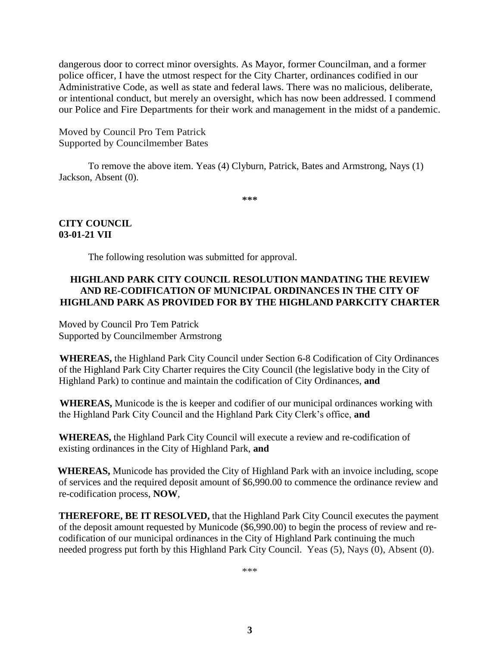dangerous door to correct minor oversights. As Mayor, former Councilman, and a former police officer, I have the utmost respect for the City Charter, ordinances codified in our Administrative Code, as well as state and federal laws. There was no malicious, deliberate, or intentional conduct, but merely an oversight, which has now been addressed. I commend our Police and Fire Departments for their work and management in the midst of a pandemic.

Moved by Council Pro Tem Patrick Supported by Councilmember Bates

To remove the above item. Yeas (4) Clyburn, Patrick, Bates and Armstrong, Nays (1) Jackson, Absent (0).

**\*\*\***

## **CITY COUNCIL 03-01-21 VII**

The following resolution was submitted for approval.

## **HIGHLAND PARK CITY COUNCIL RESOLUTION MANDATING THE REVIEW AND RE-CODIFICATION OF MUNICIPAL ORDINANCES IN THE CITY OF HIGHLAND PARK AS PROVIDED FOR BY THE HIGHLAND PARKCITY CHARTER**

Moved by Council Pro Tem Patrick Supported by Councilmember Armstrong

**WHEREAS,** the Highland Park City Council under Section 6-8 Codification of City Ordinances of the Highland Park City Charter requires the City Council (the legislative body in the City of Highland Park) to continue and maintain the codification of City Ordinances, **and**

**WHEREAS,** Municode is the is keeper and codifier of our municipal ordinances working with the Highland Park City Council and the Highland Park City Clerk's office, **and**

**WHEREAS,** the Highland Park City Council will execute a review and re-codification of existing ordinances in the City of Highland Park, **and**

**WHEREAS,** Municode has provided the City of Highland Park with an invoice including, scope of services and the required deposit amount of \$6,990.00 to commence the ordinance review and re-codification process, **NOW**,

**THEREFORE, BE IT RESOLVED,** that the Highland Park City Council executes the payment of the deposit amount requested by Municode (\$6,990.00) to begin the process of review and recodification of our municipal ordinances in the City of Highland Park continuing the much needed progress put forth by this Highland Park City Council. Yeas (5), Nays (0), Absent (0).

\*\*\*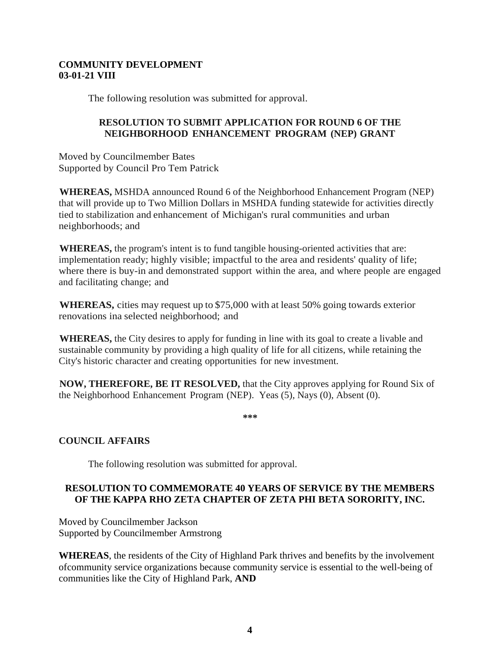## **COMMUNITY DEVELOPMENT 03-01-21 VIII**

The following resolution was submitted for approval.

# **RESOLUTION TO SUBMIT APPLICATION FOR ROUND 6 OF THE NEIGHBORHOOD ENHANCEMENT PROGRAM (NEP) GRANT**

Moved by Councilmember Bates Supported by Council Pro Tem Patrick

**WHEREAS,** MSHDA announced Round 6 of the Neighborhood Enhancement Program (NEP) that will provide up to Two Million Dollars in MSHDA funding statewide for activities directly tied to stabilization and enhancement of Michigan's rural communities and urban neighborhoods; and

**WHEREAS,** the program's intent is to fund tangible housing-oriented activities that are: implementation ready; highly visible; impactful to the area and residents' quality of life; where there is buy-in and demonstrated support within the area, and where people are engaged and facilitating change; and

**WHEREAS,** cities may request up to \$75,000 with at least 50% going towards exterior renovations ina selected neighborhood; and

**WHEREAS,** the City desires to apply for funding in line with its goal to create a livable and sustainable community by providing a high quality of life for all citizens, while retaining the City's historic character and creating opportunities for new investment.

**NOW, THEREFORE, BE IT RESOLVED,** that the City approves applying for Round Six of the Neighborhood Enhancement Program (NEP). Yeas (5), Nays (0), Absent (0).

**\*\*\***

# **COUNCIL AFFAIRS**

The following resolution was submitted for approval.

# **RESOLUTION TO COMMEMORATE 40 YEARS OF SERVICE BY THE MEMBERS OF THE KAPPA RHO ZETA CHAPTER OF ZETA PHI BETA SORORITY, INC.**

Moved by Councilmember Jackson Supported by Councilmember Armstrong

**WHEREAS**, the residents of the City of Highland Park thrives and benefits by the involvement ofcommunity service organizations because community service is essential to the well-being of communities like the City of Highland Park, **AND**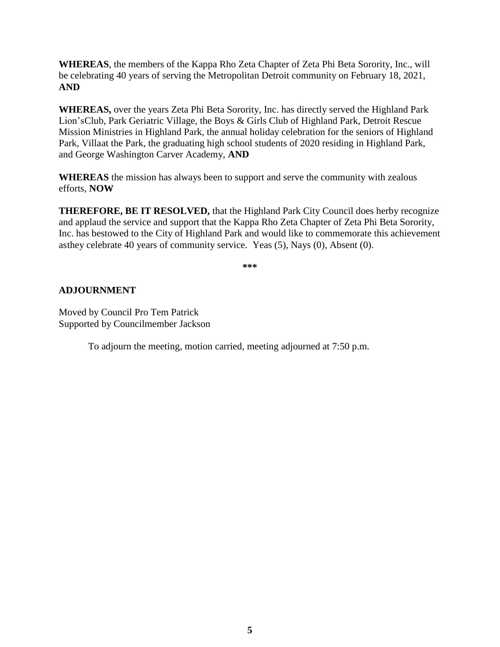**WHEREAS**, the members of the Kappa Rho Zeta Chapter of Zeta Phi Beta Sorority, Inc., will be celebrating 40 years of serving the Metropolitan Detroit community on February 18, 2021, **AND**

**WHEREAS,** over the years Zeta Phi Beta Sorority, Inc. has directly served the Highland Park Lion'sClub, Park Geriatric Village, the Boys & Girls Club of Highland Park, Detroit Rescue Mission Ministries in Highland Park, the annual holiday celebration for the seniors of Highland Park, Villaat the Park, the graduating high school students of 2020 residing in Highland Park, and George Washington Carver Academy, **AND**

**WHEREAS** the mission has always been to support and serve the community with zealous efforts, **NOW**

**THEREFORE, BE IT RESOLVED,** that the Highland Park City Council does herby recognize and applaud the service and support that the Kappa Rho Zeta Chapter of Zeta Phi Beta Sorority, Inc. has bestowed to the City of Highland Park and would like to commemorate this achievement asthey celebrate 40 years of community service. Yeas (5), Nays (0), Absent (0).

**\*\*\***

# **ADJOURNMENT**

Moved by Council Pro Tem Patrick Supported by Councilmember Jackson

To adjourn the meeting, motion carried, meeting adjourned at 7:50 p.m.